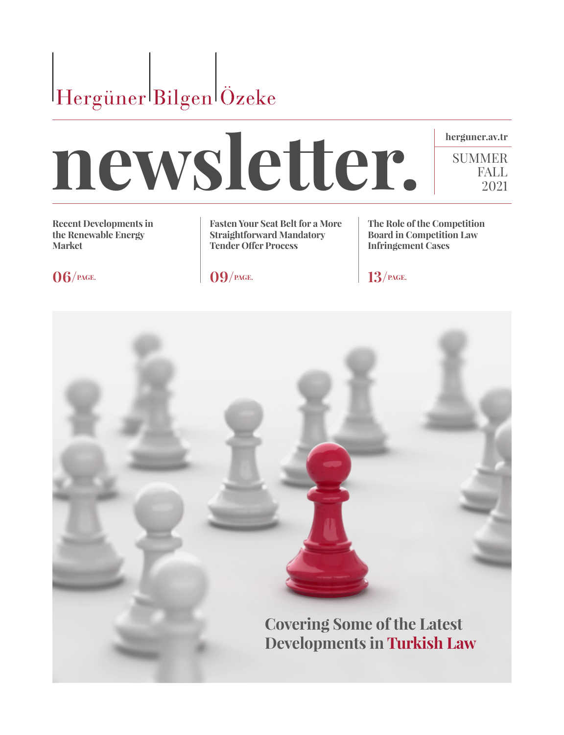



**Recent Developments in the Renewable Energy Market** 

**Fasten Your Seat Belt for a More Straightforward Mandatory Tender Offer Process** 

**The Role of the Competition Board in Competition Law Infringement Cases**

SUMMER FALL 2021

**06/PAGE. 09/PAGE. 13/PAGE.**

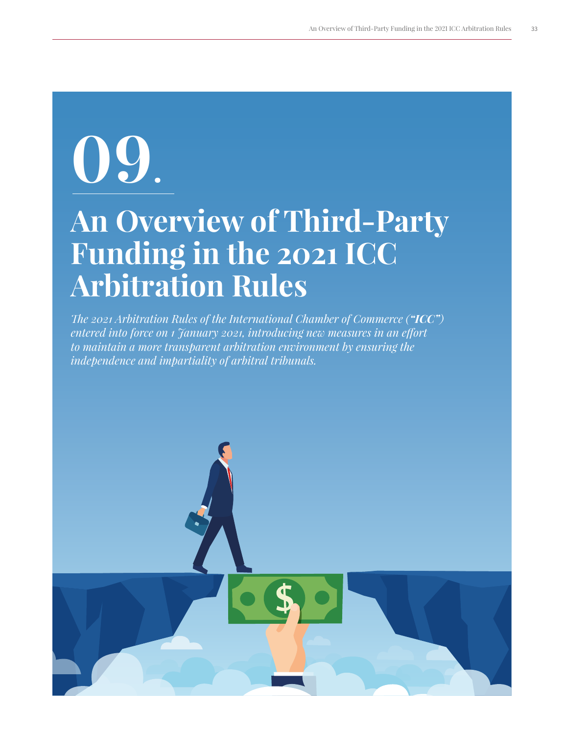# **09.**

### **An Overview of Third-Party Funding in the 2021 ICC Arbitration Rules**

*The 2021 Arbitration Rules of the International Chamber of Commerce ("ICC") entered into force on 1 January 2021, introducing new measures in an effort to maintain a more transparent arbitration environment by ensuring the independence and impartiality of arbitral tribunals.* 

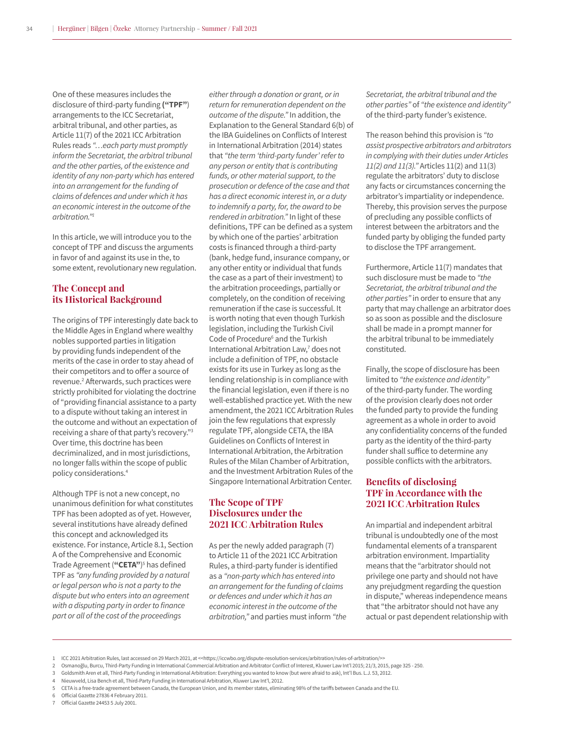One of these measures includes the disclosure of third-party funding **("TPF"**) arrangements to the ICC Secretariat, arbitral tribunal, and other parties, as Article 11(7) of the 2021 ICC Arbitration Rules reads *"…each party must promptly inform the Secretariat, the arbitral tribunal and the other parties, of the existence and identity of any non-party which has entered into an arrangement for the funding of claims of defences and under which it has an economic interest in the outcome of the arbitration."<sup>1</sup>*

In this article, we will introduce you to the concept of TPF and discuss the arguments in favor of and against its use in the, to some extent, revolutionary new regulation.

#### **The Concept and its Historical Background**

The origins of TPF interestingly date back to the Middle Ages in England where wealthy nobles supported parties in litigation by providing funds independent of the merits of the case in order to stay ahead of their competitors and to offer a source of revenue.<sup>2</sup> Afterwards, such practices were strictly prohibited for violating the doctrine of "providing financial assistance to a party to a dispute without taking an interest in the outcome and without an expectation of receiving a share of that party's recovery."<sup>3</sup> Over time, this doctrine has been decriminalized, and in most jurisdictions, no longer falls within the scope of public policy considerations.<sup>4</sup>

Although TPF is not a new concept, no unanimous definition for what constitutes TPF has been adopted as of yet. However, several institutions have already defined this concept and acknowledged its existence. For instance, Article 8.1, Section A of the Comprehensive and Economic Trade Agreement (**"CETA"**) 5 has defined TPF as *"any funding provided by a natural or legal person who is not a party to the dispute but who enters into an agreement with a disputing party in order to finance part or all of the cost of the proceedings* 

*either through a donation or grant, or in return for remuneration dependent on the outcome of the dispute."* In addition, the Explanation to the General Standard 6(b) of the IBA Guidelines on Conflicts of Interest in International Arbitration (2014) states that *"the term 'third-party funder' refer to any person or entity that is contributing funds, or other material support, to the prosecution or defence of the case and that has a direct economic interest in, or a duty to indemnify a party, for, the award to be rendered in arbitration."* In light of these definitions, TPF can be defined as a system by which one of the parties' arbitration costs is financed through a third-party (bank, hedge fund, insurance company, or any other entity or individual that funds the case as a part of their investment) to the arbitration proceedings, partially or completely, on the condition of receiving remuneration if the case is successful. It is worth noting that even though Turkish legislation, including the Turkish Civil Code of Procedure<sup>6</sup> and the Turkish International Arbitration Law,<sup>7</sup> does not include a definition of TPF, no obstacle exists for its use in Turkey as long as the lending relationship is in compliance with the financial legislation, even if there is no well-established practice yet. With the new amendment, the 2021 ICC Arbitration Rules join the few regulations that expressly regulate TPF, alongside CETA, the IBA Guidelines on Conflicts of Interest in International Arbitration, the Arbitration Rules of the Milan Chamber of Arbitration, and the Investment Arbitration Rules of the Singapore International Arbitration Center.

#### **The Scope of TPF Disclosures under the 2021 ICC Arbitration Rules**

As per the newly added paragraph (7) to Article 11 of the 2021 ICC Arbitration Rules, a third-party funder is identified as a *"non-party which has entered into an arrangement for the funding of claims or defences and under which it has an economic interest in the outcome of the arbitration,"* and parties must inform *"the* 

*Secretariat, the arbitral tribunal and the other parties"* of *"the existence and identity"* of the third-party funder's existence.

The reason behind this provision is *"to assist prospective arbitrators and arbitrators in complying with their duties under Articles 11(2) and 11(3)."* Articles 11(2) and 11(3) regulate the arbitrators' duty to disclose any facts or circumstances concerning the arbitrator's impartiality or independence. Thereby, this provision serves the purpose of precluding any possible conflicts of interest between the arbitrators and the funded party by obliging the funded party to disclose the TPF arrangement.

Furthermore, Article 11(7) mandates that such disclosure must be made to *"the Secretariat, the arbitral tribunal and the other parties"* in order to ensure that any party that may challenge an arbitrator does so as soon as possible and the disclosure shall be made in a prompt manner for the arbitral tribunal to be immediately constituted.

Finally, the scope of disclosure has been limited to *"the existence and identity"* of the third-party funder. The wording of the provision clearly does not order the funded party to provide the funding agreement as a whole in order to avoid any confidentiality concerns of the funded party as the identity of the third-party funder shall suffice to determine any possible conflicts with the arbitrators.

#### **Benefits of disclosing TPF in Accordance with the 2021 ICC Arbitration Rules**

An impartial and independent arbitral tribunal is undoubtedly one of the most fundamental elements of a transparent arbitration environment. Impartiality means that the "arbitrator should not privilege one party and should not have any prejudgment regarding the question in dispute," whereas independence means that "the arbitrator should not have any actual or past dependent relationship with

2 Osmanoğlu, Burcu, Third-Party Funding in International Commercial Arbitration and Arbitrator Conflict of Interest, Kluwer Law Int'l 2015; 21/3, 2015, page 325 - 250.

<sup>1</sup> ICC 2021 Arbitration Rules, last accessed on 29 March 2021, at <<https://iccwbo.org/dispute-resolution-services/arbitration/rules-of-arbitration/>>

<sup>3</sup> Goldsmith Aren et all, Third-Party Funding in International Arbitration: Everything you wanted to know (but were afraid to ask), Int'l Bus. L.J. 53, 2012.

<sup>4</sup> Nieuwveld, Lisa Bench et all, Third-Party Funding in International Arbitration, Kluwer Law Int'l, 2012.

<sup>5</sup> CETA is a free-trade agreement between Canada, the European Union, and its member states, eliminating 98% of the tariffs between Canada and the EU.

<sup>6</sup> Official Gazette 27836 4 February 2011.

<sup>7</sup> Official Gazette 24453 5 July 2001.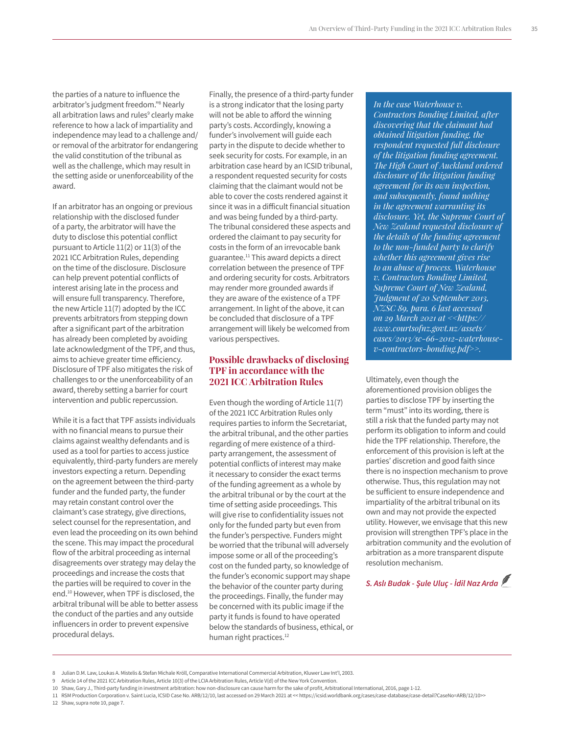the parties of a nature to influence the arbitrator's judgment freedom."<sup>8</sup> Nearly all arbitration laws and rules<sup>9</sup> clearly make reference to how a lack of impartiality and independence may lead to a challenge and/ or removal of the arbitrator for endangering the valid constitution of the tribunal as well as the challenge, which may result in the setting aside or unenforceability of the award.

If an arbitrator has an ongoing or previous relationship with the disclosed funder of a party, the arbitrator will have the duty to disclose this potential conflict pursuant to Article 11(2) or 11(3) of the 2021 ICC Arbitration Rules, depending on the time of the disclosure. Disclosure can help prevent potential conflicts of interest arising late in the process and will ensure full transparency. Therefore, the new Article 11(7) adopted by the ICC prevents arbitrators from stepping down after a significant part of the arbitration has already been completed by avoiding late acknowledgment of the TPF, and thus, aims to achieve greater time efficiency. Disclosure of TPF also mitigates the risk of challenges to or the unenforceability of an award, thereby setting a barrier for court intervention and public repercussion.

While it is a fact that TPF assists individuals with no financial means to pursue their claims against wealthy defendants and is used as a tool for parties to access justice equivalently, third-party funders are merely investors expecting a return. Depending on the agreement between the third-party funder and the funded party, the funder may retain constant control over the claimant's case strategy, give directions, select counsel for the representation, and even lead the proceeding on its own behind the scene. This may impact the procedural flow of the arbitral proceeding as internal disagreements over strategy may delay the proceedings and increase the costs that the parties will be required to cover in the end.<sup>10</sup> However, when TPF is disclosed, the arbitral tribunal will be able to better assess the conduct of the parties and any outside influencers in order to prevent expensive procedural delays.

Finally, the presence of a third-party funder is a strong indicator that the losing party will not be able to afford the winning party's costs. Accordingly, knowing a funder's involvement will guide each party in the dispute to decide whether to seek security for costs. For example, in an arbitration case heard by an ICSID tribunal, a respondent requested security for costs claiming that the claimant would not be able to cover the costs rendered against it since it was in a difficult financial situation and was being funded by a third-party. The tribunal considered these aspects and ordered the claimant to pay security for costs in the form of an irrevocable bank guarantee.<sup>11</sup> This award depicts a direct correlation between the presence of TPF and ordering security for costs. Arbitrators may render more grounded awards if they are aware of the existence of a TPF arrangement. In light of the above, it can be concluded that disclosure of a TPF arrangement will likely be welcomed from various perspectives.

#### **Possible drawbacks of disclosing TPF in accordance with the 2021 ICC Arbitration Rules**

Even though the wording of Article 11(7) of the 2021 ICC Arbitration Rules only requires parties to inform the Secretariat, the arbitral tribunal, and the other parties regarding of mere existence of a thirdparty arrangement, the assessment of potential conflicts of interest may make it necessary to consider the exact terms of the funding agreement as a whole by the arbitral tribunal or by the court at the time of setting aside proceedings. This will give rise to confidentiality issues not only for the funded party but even from the funder's perspective. Funders might be worried that the tribunal will adversely impose some or all of the proceeding's cost on the funded party, so knowledge of the funder's economic support may shape the behavior of the counter party during the proceedings. Finally, the funder may be concerned with its public image if the party it funds is found to have operated below the standards of business, ethical, or human right practices.<sup>12</sup>

*In the case Waterhouse v. Contractors Bonding Limited, after discovering that the claimant had obtained litigation funding, the respondent requested full disclosure of the litigation funding agreement. The High Court of Auckland ordered disclosure of the litigation funding agreement for its own inspection, and subsequently, found nothing in the agreement warranting its disclosure. Yet, the Supreme Court of New Zealand requested disclosure of the details of the funding agreement to the non-funded party to clarify whether this agreement gives rise to an abuse of process. Waterhouse v. Contractors Bonding Limited, Supreme Court of New Zealand, Judgment of 20 September 2013, NZSC 89, para. 6 last accessed on 29 March 2021 at <<https:// www.courtsofnz.govt.nz/assets/ cases/2013/sc-66-2012-waterhousev-contractors-bonding.pdf>>.* 

Ultimately, even though the aforementioned provision obliges the parties to disclose TPF by inserting the term "must" into its wording, there is still a risk that the funded party may not perform its obligation to inform and could hide the TPF relationship. Therefore, the enforcement of this provision is left at the parties' discretion and good faith since there is no inspection mechanism to prove otherwise. Thus, this regulation may not be sufficient to ensure independence and impartiality of the arbitral tribunal on its own and may not provide the expected utility. However, we envisage that this new provision will strengthen TPF's place in the arbitration community and the evolution of arbitration as a more transparent dispute resolution mechanism.

*S. Aslı Budak - Şule Uluç - İdil Naz Arda*

<sup>8</sup> Julian D.M. Law, Loukas A. Mistelis & Stefan Michale Kröll, Comparative International Commercial Arbitration, Kluwer Law Int'l, 2003.

<sup>9</sup> Article 14 of the 2021 ICC Arbitration Rules, Article 10(3) of the LCIA Arbitration Rules, Article V(d) of the New York Convention.

<sup>10</sup> Shaw, Gary J., Third-party funding in investment arbitration: how non-disclosure can cause harm for the sake of profit, Arbitrational International, 2016, page 1-12.

<sup>11</sup> RSM Production Corporation v. Saint Lucia, ICSID Case No. ARB/12/10, last accessed on 29 March 2021 at << https://icsid.worldbank.org/cases/case-database/case-detail?CaseNo=ARB/12/10>>

<sup>12</sup> Shaw, supra note 10, page 7.